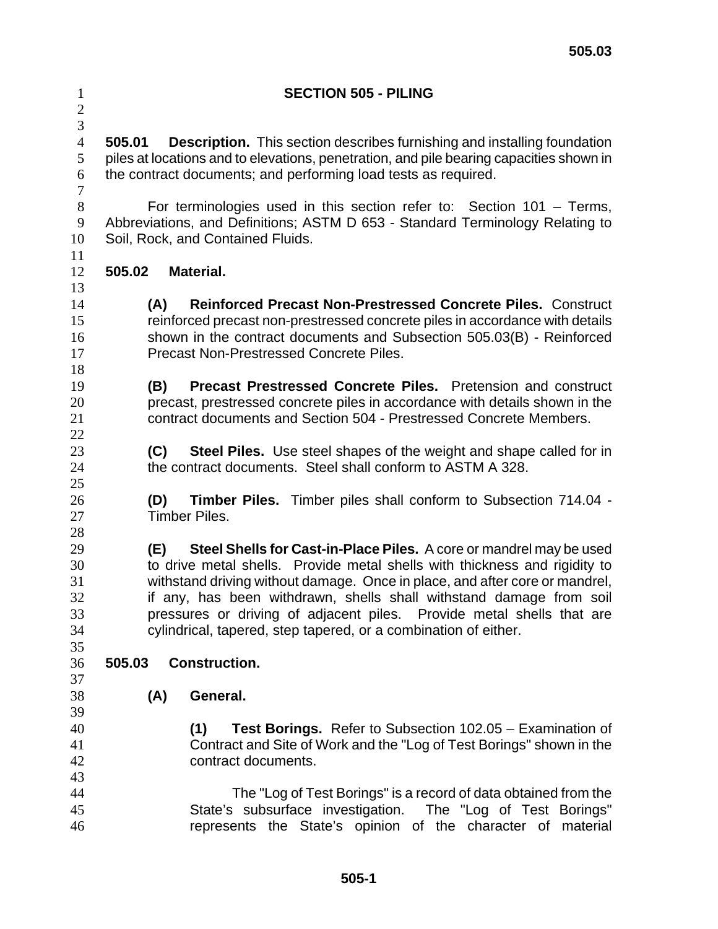| $\mathbf{1}$<br>$\overline{c}$<br>$\overline{3}$ | <b>SECTION 505 - PILING</b>                                                             |
|--------------------------------------------------|-----------------------------------------------------------------------------------------|
| $\overline{4}$                                   | <b>Description.</b> This section describes furnishing and installing foundation         |
| 5                                                | 505.01                                                                                  |
| 6                                                | piles at locations and to elevations, penetration, and pile bearing capacities shown in |
| $\boldsymbol{7}$                                 | the contract documents; and performing load tests as required.                          |
| $8\,$                                            | For terminologies used in this section refer to: Section $101 -$ Terms,                 |
| $\mathbf{9}$                                     | Abbreviations, and Definitions; ASTM D 653 - Standard Terminology Relating to           |
| 10                                               | Soil, Rock, and Contained Fluids.                                                       |
| 11<br>12<br>13                                   | <b>Material.</b><br>505.02                                                              |
| 14                                               | <b>Reinforced Precast Non-Prestressed Concrete Piles. Construct</b>                     |
| 15                                               | (A)                                                                                     |
| 16                                               | reinforced precast non-prestressed concrete piles in accordance with details            |
| 17                                               | shown in the contract documents and Subsection 505.03(B) - Reinforced                   |
| 18                                               | <b>Precast Non-Prestressed Concrete Piles.</b>                                          |
| 19                                               | <b>Precast Prestressed Concrete Piles.</b> Pretension and construct                     |
| 20                                               | (B)                                                                                     |
| 21                                               | precast, prestressed concrete piles in accordance with details shown in the             |
| 22                                               | contract documents and Section 504 - Prestressed Concrete Members.                      |
| 23                                               | <b>Steel Piles.</b> Use steel shapes of the weight and shape called for in              |
| 24                                               | (C)                                                                                     |
| 25                                               | the contract documents. Steel shall conform to ASTM A 328.                              |
| 26                                               | <b>Timber Piles.</b> Timber piles shall conform to Subsection 714.04 -                  |
| 27                                               | (D)                                                                                     |
| 28                                               | Timber Piles.                                                                           |
| 29                                               | Steel Shells for Cast-in-Place Piles. A core or mandrel may be used                     |
| 30                                               | (E)                                                                                     |
| 31                                               | to drive metal shells. Provide metal shells with thickness and rigidity to              |
| 32                                               | withstand driving without damage. Once in place, and after core or mandrel,             |
| 33                                               | if any, has been withdrawn, shells shall withstand damage from soil                     |
| 34                                               | pressures or driving of adjacent piles. Provide metal shells that are                   |
| 35                                               | cylindrical, tapered, step tapered, or a combination of either.                         |
| 36                                               | <b>Construction.</b>                                                                    |
| 37                                               | 505.03                                                                                  |
| 38                                               | (A)                                                                                     |
| 39                                               | General.                                                                                |
| 40                                               | <b>Test Borings.</b> Refer to Subsection 102.05 – Examination of                        |
| 41                                               | (1)                                                                                     |
| 42                                               | Contract and Site of Work and the "Log of Test Borings" shown in the                    |
| 43                                               | contract documents.                                                                     |
| 44                                               | The "Log of Test Borings" is a record of data obtained from the                         |
| 45                                               | State's subsurface investigation. The "Log of Test Borings"                             |
| 46                                               | represents the State's opinion of the character of material                             |

**505.03**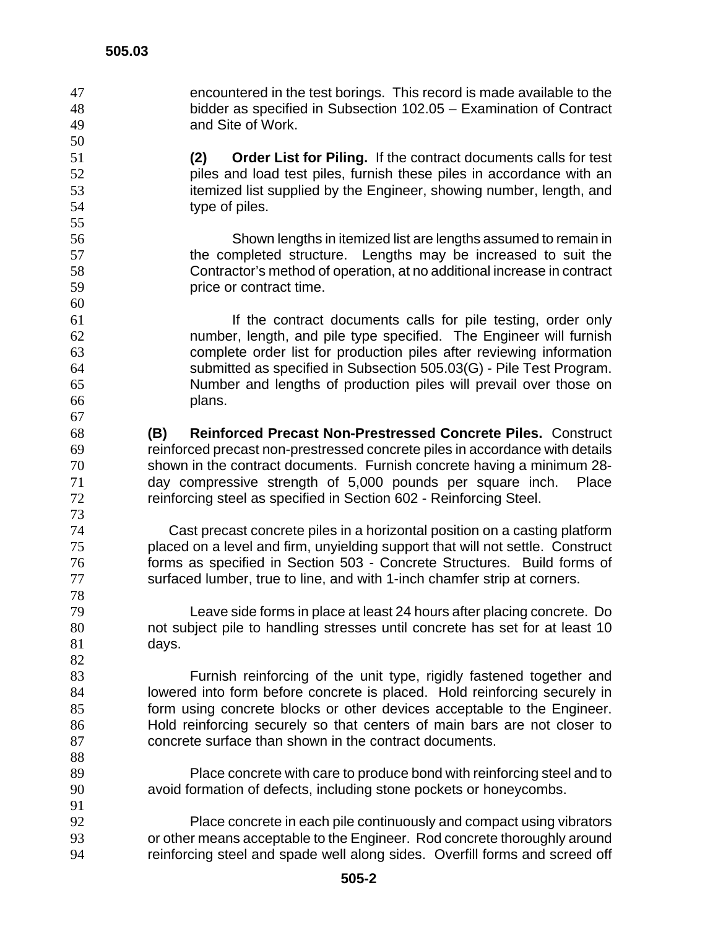encountered in the test borings. This record is made available to the bidder as specified in Subsection 102.05 – Examination of Contract and Site of Work.

**(2) Order List for Piling.** If the contract documents calls for test piles and load test piles, furnish these piles in accordance with an itemized list supplied by the Engineer, showing number, length, and type of piles.

Shown lengths in itemized list are lengths assumed to remain in 57 the completed structure. Lengths may be increased to suit the Contractor's method of operation, at no additional increase in contract price or contract time.

If the contract documents calls for pile testing, order only number, length, and pile type specified. The Engineer will furnish complete order list for production piles after reviewing information submitted as specified in Subsection 505.03(G) - Pile Test Program. Number and lengths of production piles will prevail over those on plans.

**(B) Reinforced Precast Non-Prestressed Concrete Piles.** Construct reinforced precast non-prestressed concrete piles in accordance with details shown in the contract documents. Furnish concrete having a minimum 28- day compressive strength of 5,000 pounds per square inch. Place reinforcing steel as specified in Section 602 - Reinforcing Steel.

Cast precast concrete piles in a horizontal position on a casting platform placed on a level and firm, unyielding support that will not settle. Construct forms as specified in Section 503 - Concrete Structures. Build forms of surfaced lumber, true to line, and with 1-inch chamfer strip at corners.

Leave side forms in place at least 24 hours after placing concrete. Do not subject pile to handling stresses until concrete has set for at least 10 days.

Furnish reinforcing of the unit type, rigidly fastened together and lowered into form before concrete is placed. Hold reinforcing securely in form using concrete blocks or other devices acceptable to the Engineer. Hold reinforcing securely so that centers of main bars are not closer to concrete surface than shown in the contract documents.

Place concrete with care to produce bond with reinforcing steel and to avoid formation of defects, including stone pockets or honeycombs. 

Place concrete in each pile continuously and compact using vibrators or other means acceptable to the Engineer. Rod concrete thoroughly around reinforcing steel and spade well along sides. Overfill forms and screed off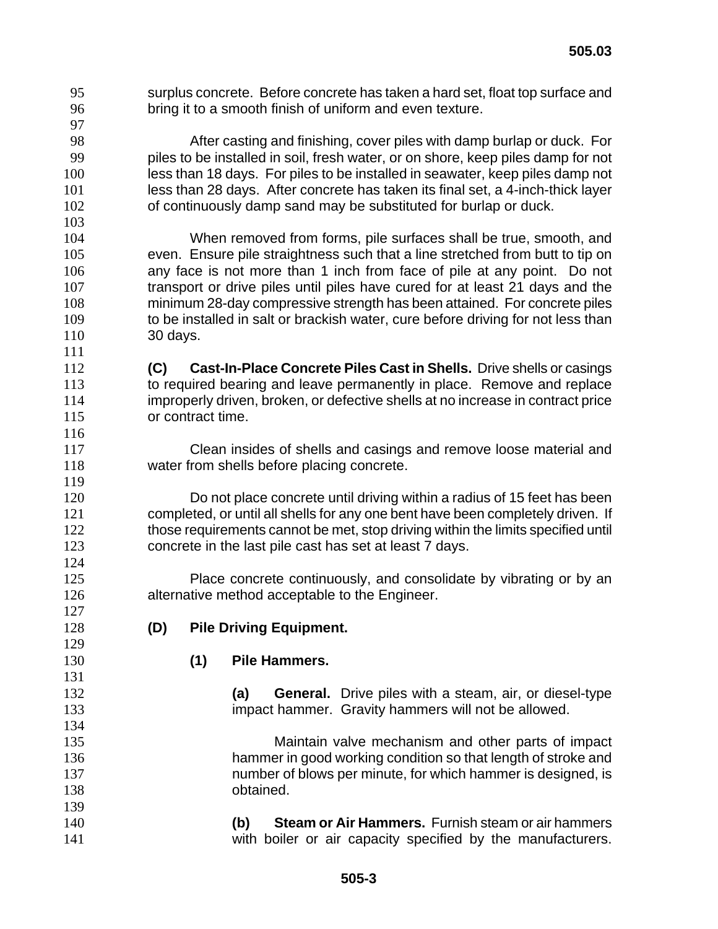surplus concrete. Before concrete has taken a hard set, float top surface and bring it to a smooth finish of uniform and even texture. 

After casting and finishing, cover piles with damp burlap or duck. For piles to be installed in soil, fresh water, or on shore, keep piles damp for not less than 18 days. For piles to be installed in seawater, keep piles damp not less than 28 days. After concrete has taken its final set, a 4-inch-thick layer of continuously damp sand may be substituted for burlap or duck.

When removed from forms, pile surfaces shall be true, smooth, and even. Ensure pile straightness such that a line stretched from butt to tip on any face is not more than 1 inch from face of pile at any point. Do not transport or drive piles until piles have cured for at least 21 days and the minimum 28-day compressive strength has been attained. For concrete piles 109 to be installed in salt or brackish water, cure before driving for not less than 30 days.

**(C) Cast-In-Place Concrete Piles Cast in Shells.** Drive shells or casings 113 to required bearing and leave permanently in place. Remove and replace improperly driven, broken, or defective shells at no increase in contract price or contract time.

Clean insides of shells and casings and remove loose material and water from shells before placing concrete.

Do not place concrete until driving within a radius of 15 feet has been completed, or until all shells for any one bent have been completely driven. If 122 those requirements cannot be met, stop driving within the limits specified until concrete in the last pile cast has set at least 7 days.

Place concrete continuously, and consolidate by vibrating or by an alternative method acceptable to the Engineer.

- **(D) Pile Driving Equipment.**
- 

## **(1) Pile Hammers.**

**(a) General.** Drive piles with a steam, air, or diesel-type impact hammer. Gravity hammers will not be allowed.

Maintain valve mechanism and other parts of impact hammer in good working condition so that length of stroke and number of blows per minute, for which hammer is designed, is obtained.

**(b) Steam or Air Hammers.** Furnish steam or air hammers with boiler or air capacity specified by the manufacturers.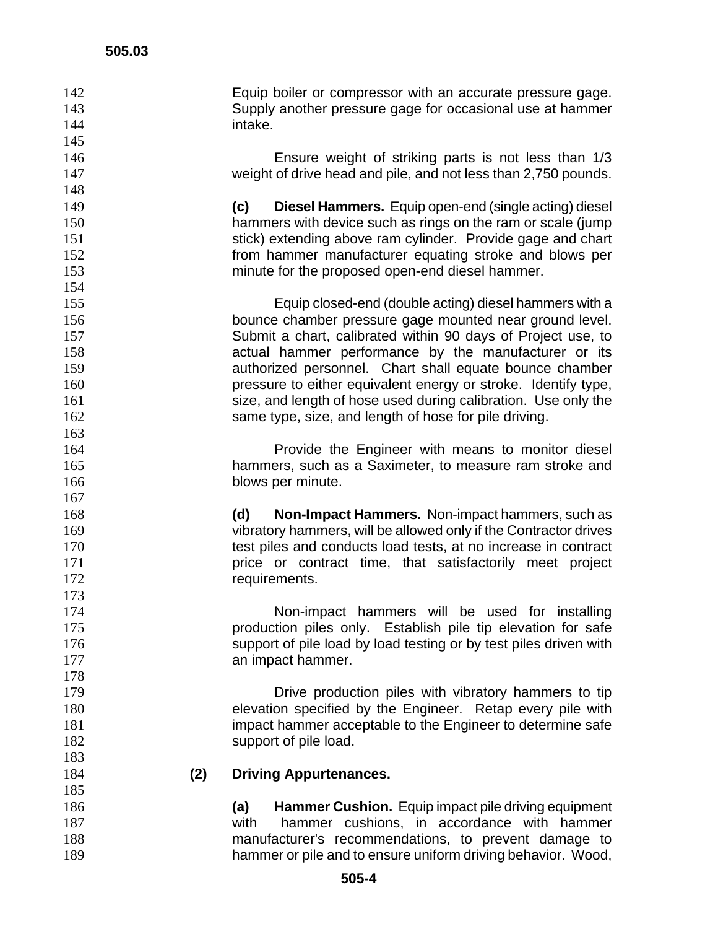Equip boiler or compressor with an accurate pressure gage. Supply another pressure gage for occasional use at hammer intake.

Ensure weight of striking parts is not less than 1/3 weight of drive head and pile, and not less than 2,750 pounds.

**(c) Diesel Hammers.** Equip open-end (single acting) diesel hammers with device such as rings on the ram or scale (jump 151 stick) extending above ram cylinder. Provide gage and chart from hammer manufacturer equating stroke and blows per minute for the proposed open-end diesel hammer.

Equip closed-end (double acting) diesel hammers with a bounce chamber pressure gage mounted near ground level. Submit a chart, calibrated within 90 days of Project use, to actual hammer performance by the manufacturer or its authorized personnel. Chart shall equate bounce chamber pressure to either equivalent energy or stroke. Identify type, 161 size, and length of hose used during calibration. Use only the 162 same type, size, and length of hose for pile driving.

Provide the Engineer with means to monitor diesel hammers, such as a Saximeter, to measure ram stroke and 166 blows per minute.

**(d) Non-Impact Hammers.** Non-impact hammers, such as vibratory hammers, will be allowed only if the Contractor drives 170 test piles and conducts load tests, at no increase in contract **price or contract time, that satisfactorily meet project** 172 requirements.

Non-impact hammers will be used for installing production piles only. Establish pile tip elevation for safe 176 support of pile load by load testing or by test piles driven with 177 an impact hammer.

Drive production piles with vibratory hammers to tip elevation specified by the Engineer. Retap every pile with impact hammer acceptable to the Engineer to determine safe 182 support of pile load.

#### **(2) Driving Appurtenances.**

**(a) Hammer Cushion.** Equip impact pile driving equipment with hammer cushions, in accordance with hammer manufacturer's recommendations, to prevent damage to hammer or pile and to ensure uniform driving behavior. Wood,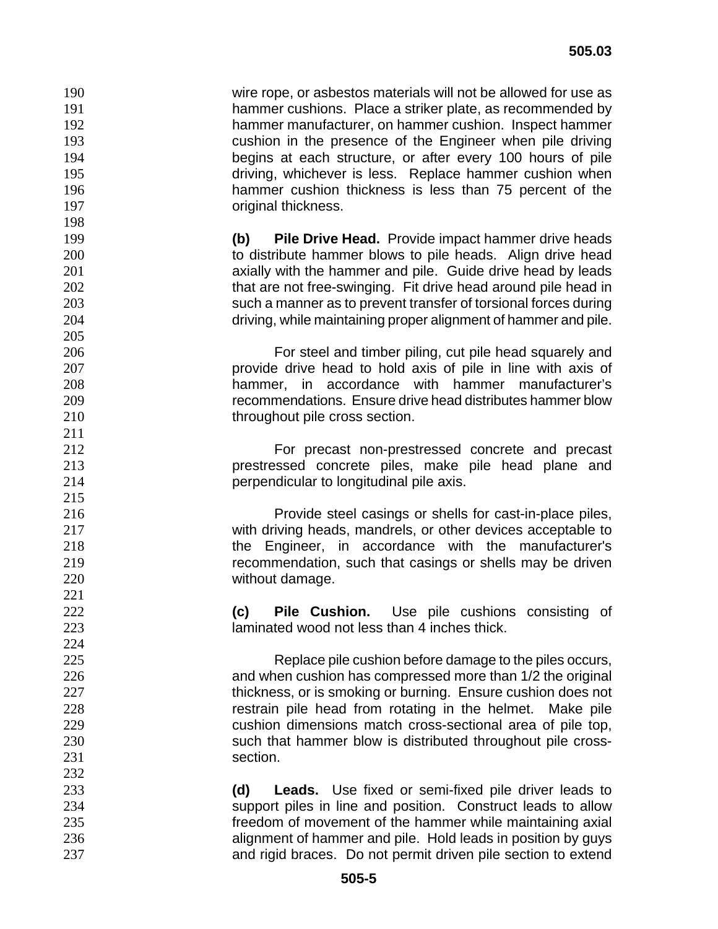wire rope, or asbestos materials will not be allowed for use as hammer cushions. Place a striker plate, as recommended by hammer manufacturer, on hammer cushion. Inspect hammer cushion in the presence of the Engineer when pile driving begins at each structure, or after every 100 hours of pile driving, whichever is less. Replace hammer cushion when hammer cushion thickness is less than 75 percent of the **original thickness. (b) Pile Drive Head.** Provide impact hammer drive heads 200 to distribute hammer blows to pile heads. Align drive head **axially with the hammer and pile. Guide drive head by leads** 202 that are not free-swinging. Fit drive head around pile head in such a manner as to prevent transfer of torsional forces during driving, while maintaining proper alignment of hammer and pile. For steel and timber piling, cut pile head squarely and provide drive head to hold axis of pile in line with axis of hammer, in accordance with hammer manufacturer's recommendations. Ensure drive head distributes hammer blow 210 throughout pile cross section. For precast non-prestressed concrete and precast prestressed concrete piles, make pile head plane and perpendicular to longitudinal pile axis. Provide steel casings or shells for cast-in-place piles, with driving heads, mandrels, or other devices acceptable to the Engineer, in accordance with the manufacturer's recommendation, such that casings or shells may be driven without damage. **(c) Pile Cushion.** Use pile cushions consisting of laminated wood not less than 4 inches thick. Replace pile cushion before damage to the piles occurs, and when cushion has compressed more than 1/2 the original 227 thickness, or is smoking or burning. Ensure cushion does not **restrain pile head from rotating in the helmet.** Make pile cushion dimensions match cross-sectional area of pile top, such that hammer blow is distributed throughout pile cross-231 section. **(d) Leads.** Use fixed or semi-fixed pile driver leads to support piles in line and position. Construct leads to allow freedom of movement of the hammer while maintaining axial alignment of hammer and pile. Hold leads in position by guys and rigid braces. Do not permit driven pile section to extend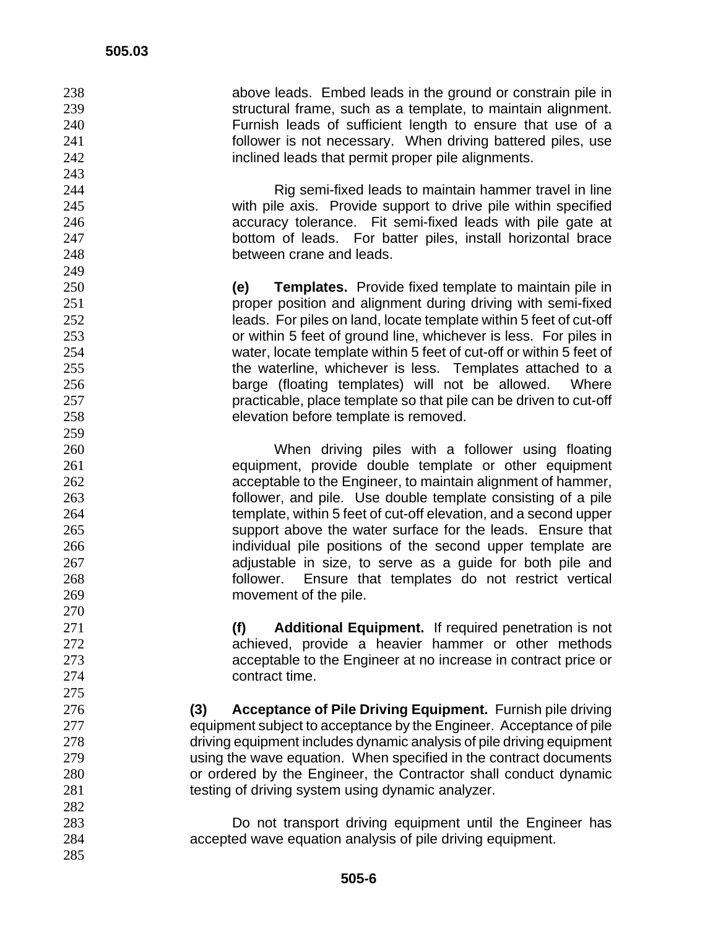above leads. Embed leads in the ground or constrain pile in structural frame, such as a template, to maintain alignment. Furnish leads of sufficient length to ensure that use of a follower is not necessary. When driving battered piles, use **inclined leads that permit proper pile alignments.** 

Rig semi-fixed leads to maintain hammer travel in line with pile axis. Provide support to drive pile within specified accuracy tolerance. Fit semi-fixed leads with pile gate at bottom of leads. For batter piles, install horizontal brace between crane and leads.

**(e) Templates.** Provide fixed template to maintain pile in proper position and alignment during driving with semi-fixed leads. For piles on land, locate template within 5 feet of cut-off or within 5 feet of ground line, whichever is less. For piles in water, locate template within 5 feet of cut-off or within 5 feet of the waterline, whichever is less. Templates attached to a barge (floating templates) will not be allowed. Where practicable, place template so that pile can be driven to cut-off elevation before template is removed.

When driving piles with a follower using floating equipment, provide double template or other equipment acceptable to the Engineer, to maintain alignment of hammer, follower, and pile. Use double template consisting of a pile template, within 5 feet of cut-off elevation, and a second upper support above the water surface for the leads. Ensure that **individual pile positions of the second upper template are** adjustable in size, to serve as a guide for both pile and follower. Ensure that templates do not restrict vertical movement of the pile.

**(f) Additional Equipment.** If required penetration is not achieved, provide a heavier hammer or other methods acceptable to the Engineer at no increase in contract price or contract time.

**(3) Acceptance of Pile Driving Equipment.** Furnish pile driving equipment subject to acceptance by the Engineer. Acceptance of pile driving equipment includes dynamic analysis of pile driving equipment using the wave equation. When specified in the contract documents or ordered by the Engineer, the Contractor shall conduct dynamic testing of driving system using dynamic analyzer.

Do not transport driving equipment until the Engineer has accepted wave equation analysis of pile driving equipment.

 **505-6**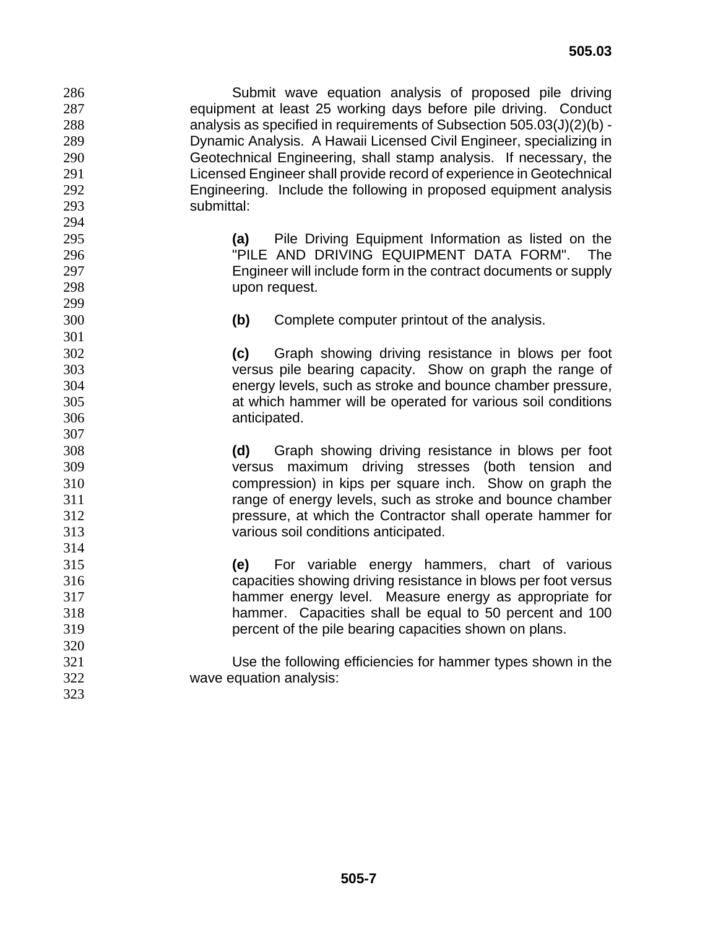Submit wave equation analysis of proposed pile driving equipment at least 25 working days before pile driving. Conduct analysis as specified in requirements of Subsection 505.03(J)(2)(b) - Dynamic Analysis. A Hawaii Licensed Civil Engineer, specializing in Geotechnical Engineering, shall stamp analysis. If necessary, the Licensed Engineer shall provide record of experience in Geotechnical Engineering. Include the following in proposed equipment analysis submittal: **(a)** Pile Driving Equipment Information as listed on the "PILE AND DRIVING EQUIPMENT DATA FORM". The Engineer will include form in the contract documents or supply upon request. **(b)** Complete computer printout of the analysis. **(c)** Graph showing driving resistance in blows per foot versus pile bearing capacity. Show on graph the range of energy levels, such as stroke and bounce chamber pressure, at which hammer will be operated for various soil conditions anticipated. **(d)** Graph showing driving resistance in blows per foot versus maximum driving stresses (both tension and compression) in kips per square inch. Show on graph the range of energy levels, such as stroke and bounce chamber pressure, at which the Contractor shall operate hammer for various soil conditions anticipated. **(e)** For variable energy hammers, chart of various capacities showing driving resistance in blows per foot versus hammer energy level. Measure energy as appropriate for hammer. Capacities shall be equal to 50 percent and 100 percent of the pile bearing capacities shown on plans. Use the following efficiencies for hammer types shown in the wave equation analysis: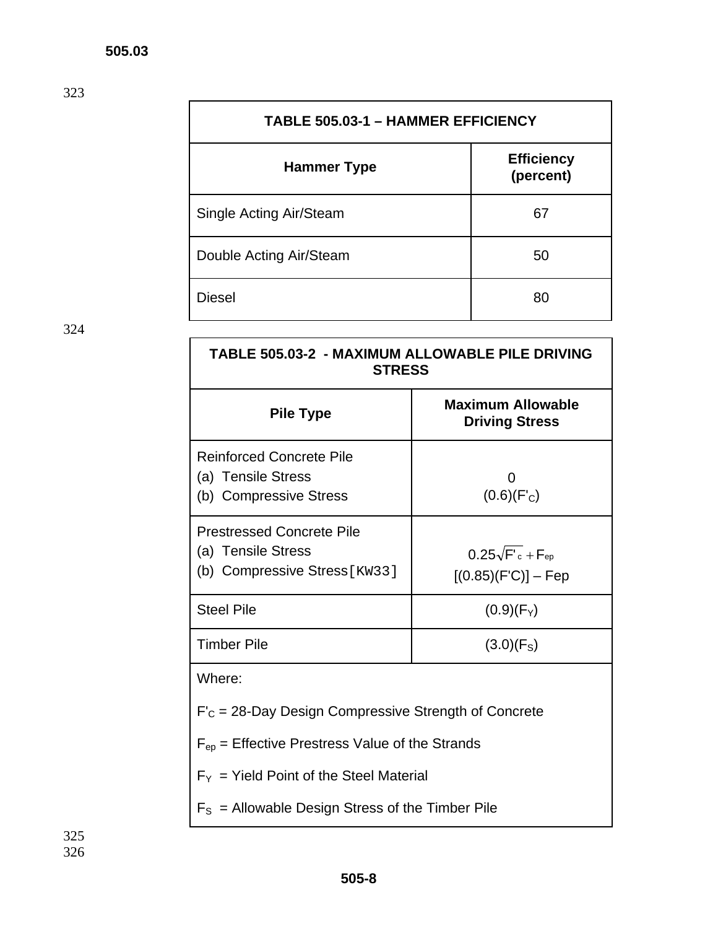| <b>TABLE 505.03-1 - HAMMER EFFICIENCY</b> |                                |  |
|-------------------------------------------|--------------------------------|--|
| Hammer Type                               | <b>Efficiency</b><br>(percent) |  |
| Single Acting Air/Steam                   | 67                             |  |
| Double Acting Air/Steam                   | 50                             |  |
| Diesel                                    | 80                             |  |

| TABLE 505.03-2 - MAXIMUM ALLOWABLE PILE DRIVING<br><b>STRESS</b>                        |                                                         |  |  |
|-----------------------------------------------------------------------------------------|---------------------------------------------------------|--|--|
| <b>Pile Type</b>                                                                        | <b>Maximum Allowable</b><br><b>Driving Stress</b>       |  |  |
| <b>Reinforced Concrete Pile</b><br>(a) Tensile Stress<br>(b) Compressive Stress         | $\mathbf{\Omega}$<br>$(0.6)(F_C)$                       |  |  |
| <b>Prestressed Concrete Pile</b><br>(a) Tensile Stress<br>(b) Compressive Stress [KW33] | $0.25\sqrt{F_c} + F_{\text{ep}}$<br>[(0.85)(F'C)] – Fep |  |  |
| <b>Steel Pile</b>                                                                       | $(0.9)(F_Y)$                                            |  |  |
| <b>Timber Pile</b>                                                                      | $(3.0)(F_S)$                                            |  |  |
| Where:                                                                                  |                                                         |  |  |
| $F_c$ = 28-Day Design Compressive Strength of Concrete                                  |                                                         |  |  |
| $F_{ep}$ = Effective Prestress Value of the Strands                                     |                                                         |  |  |
| $F_Y$ = Yield Point of the Steel Material                                               |                                                         |  |  |
| $F_s$ = Allowable Design Stress of the Timber Pile                                      |                                                         |  |  |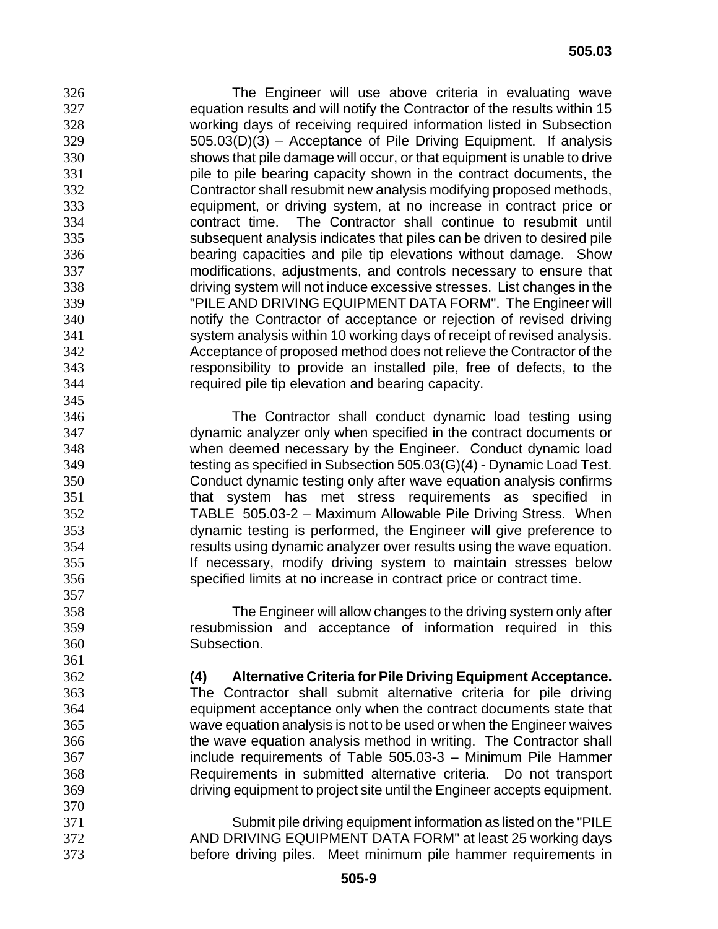The Engineer will use above criteria in evaluating wave equation results and will notify the Contractor of the results within 15 working days of receiving required information listed in Subsection 505.03(D)(3) – Acceptance of Pile Driving Equipment. If analysis shows that pile damage will occur, or that equipment is unable to drive pile to pile bearing capacity shown in the contract documents, the Contractor shall resubmit new analysis modifying proposed methods, equipment, or driving system, at no increase in contract price or contract time. The Contractor shall continue to resubmit until subsequent analysis indicates that piles can be driven to desired pile bearing capacities and pile tip elevations without damage. Show modifications, adjustments, and controls necessary to ensure that driving system will not induce excessive stresses. List changes in the "PILE AND DRIVING EQUIPMENT DATA FORM". The Engineer will notify the Contractor of acceptance or rejection of revised driving system analysis within 10 working days of receipt of revised analysis. Acceptance of proposed method does not relieve the Contractor of the responsibility to provide an installed pile, free of defects, to the required pile tip elevation and bearing capacity. 

The Contractor shall conduct dynamic load testing using dynamic analyzer only when specified in the contract documents or when deemed necessary by the Engineer. Conduct dynamic load testing as specified in Subsection 505.03(G)(4) - Dynamic Load Test. Conduct dynamic testing only after wave equation analysis confirms that system has met stress requirements as specified in TABLE 505.03-2 – Maximum Allowable Pile Driving Stress. When dynamic testing is performed, the Engineer will give preference to results using dynamic analyzer over results using the wave equation. If necessary, modify driving system to maintain stresses below specified limits at no increase in contract price or contract time.

The Engineer will allow changes to the driving system only after resubmission and acceptance of information required in this Subsection.

**(4) Alternative Criteria for Pile Driving Equipment Acceptance.** The Contractor shall submit alternative criteria for pile driving equipment acceptance only when the contract documents state that wave equation analysis is not to be used or when the Engineer waives the wave equation analysis method in writing. The Contractor shall include requirements of Table 505.03-3 – Minimum Pile Hammer Requirements in submitted alternative criteria. Do not transport driving equipment to project site until the Engineer accepts equipment.

Submit pile driving equipment information as listed on the "PILE AND DRIVING EQUIPMENT DATA FORM" at least 25 working days before driving piles. Meet minimum pile hammer requirements in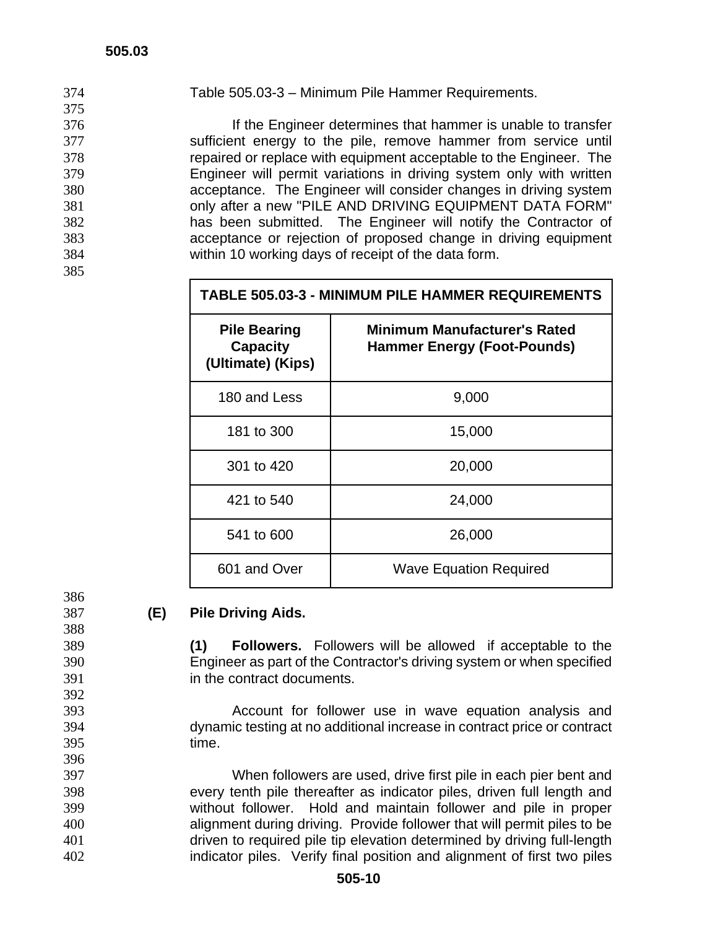| 374 | Table 505.03-3 - Minimum Pile Hammer Requirements.                  |
|-----|---------------------------------------------------------------------|
| 375 |                                                                     |
| 376 | If the Engineer determines that hammer is unable to transfer        |
| 377 | sufficient energy to the pile, remove hammer from service until     |
| 378 | repaired or replace with equipment acceptable to the Engineer. The  |
| 379 | Engineer will permit variations in driving system only with written |
| 380 | acceptance. The Engineer will consider changes in driving system    |
| 381 | only after a new "PILE AND DRIVING EQUIPMENT DATA FORM"             |
| 382 | has been submitted. The Engineer will notify the Contractor of      |
| 383 | acceptance or rejection of proposed change in driving equipment     |
| 384 | within 10 working days of receipt of the data form.                 |
| 385 |                                                                     |

### **TABLE 505.03-3 - MINIMUM PILE HAMMER REQUIREMENTS**

| <b>Pile Bearing</b><br><b>Capacity</b><br>(Ultimate) (Kips) | <b>Minimum Manufacturer's Rated</b><br><b>Hammer Energy (Foot-Pounds)</b> |
|-------------------------------------------------------------|---------------------------------------------------------------------------|
| 180 and Less                                                | 9,000                                                                     |
| 181 to 300                                                  | 15,000                                                                    |
| 301 to 420                                                  | 20,000                                                                    |
| 421 to 540                                                  | 24,000                                                                    |
| 541 to 600                                                  | 26,000                                                                    |
| 601 and Over                                                | <b>Wave Equation Required</b>                                             |

## **(E) Pile Driving Aids.**

**(1) Followers.** Followers will be allowed if acceptable to the Engineer as part of the Contractor's driving system or when specified in the contract documents.

Account for follower use in wave equation analysis and dynamic testing at no additional increase in contract price or contract time.

When followers are used, drive first pile in each pier bent and every tenth pile thereafter as indicator piles, driven full length and without follower. Hold and maintain follower and pile in proper alignment during driving. Provide follower that will permit piles to be driven to required pile tip elevation determined by driving full-length indicator piles. Verify final position and alignment of first two piles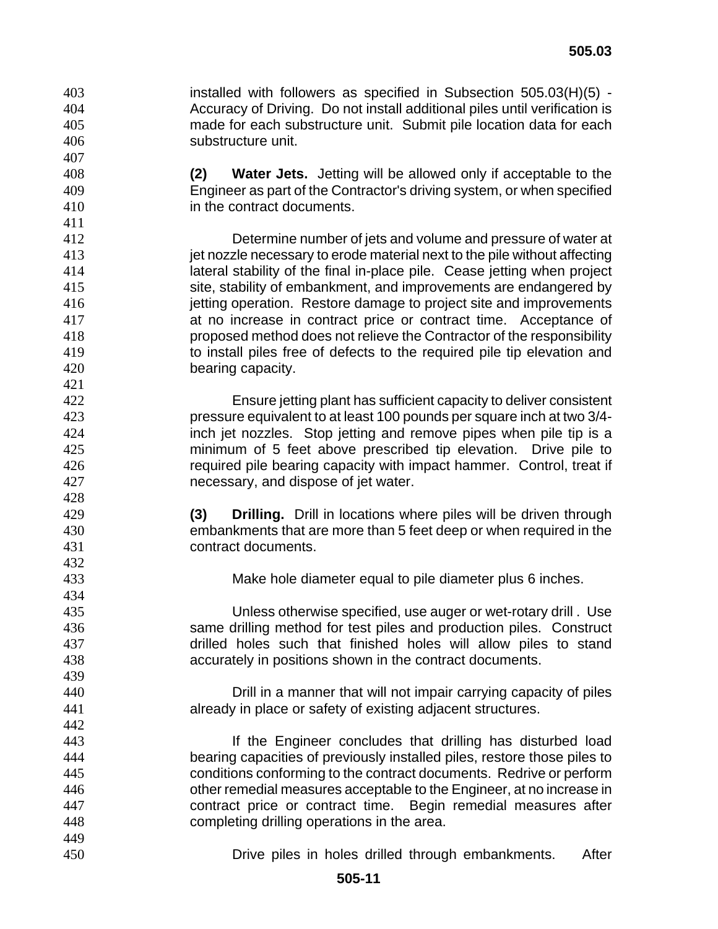installed with followers as specified in Subsection 505.03(H)(5) - Accuracy of Driving. Do not install additional piles until verification is made for each substructure unit. Submit pile location data for each substructure unit.

**(2) Water Jets.** Jetting will be allowed only if acceptable to the Engineer as part of the Contractor's driving system, or when specified in the contract documents.

Determine number of jets and volume and pressure of water at **interpretencessary to erode material next to the pile without affecting** lateral stability of the final in-place pile. Cease jetting when project site, stability of embankment, and improvements are endangered by jetting operation. Restore damage to project site and improvements at no increase in contract price or contract time. Acceptance of proposed method does not relieve the Contractor of the responsibility to install piles free of defects to the required pile tip elevation and bearing capacity.

Ensure jetting plant has sufficient capacity to deliver consistent pressure equivalent to at least 100 pounds per square inch at two 3/4- inch jet nozzles. Stop jetting and remove pipes when pile tip is a minimum of 5 feet above prescribed tip elevation. Drive pile to required pile bearing capacity with impact hammer. Control, treat if necessary, and dispose of jet water.

**(3) Drilling.** Drill in locations where piles will be driven through embankments that are more than 5 feet deep or when required in the contract documents.

Make hole diameter equal to pile diameter plus 6 inches.

Unless otherwise specified, use auger or wet-rotary drill . Use same drilling method for test piles and production piles. Construct drilled holes such that finished holes will allow piles to stand accurately in positions shown in the contract documents.

Drill in a manner that will not impair carrying capacity of piles already in place or safety of existing adjacent structures.

If the Engineer concludes that drilling has disturbed load bearing capacities of previously installed piles, restore those piles to conditions conforming to the contract documents. Redrive or perform other remedial measures acceptable to the Engineer, at no increase in contract price or contract time. Begin remedial measures after completing drilling operations in the area.

Drive piles in holes drilled through embankments. After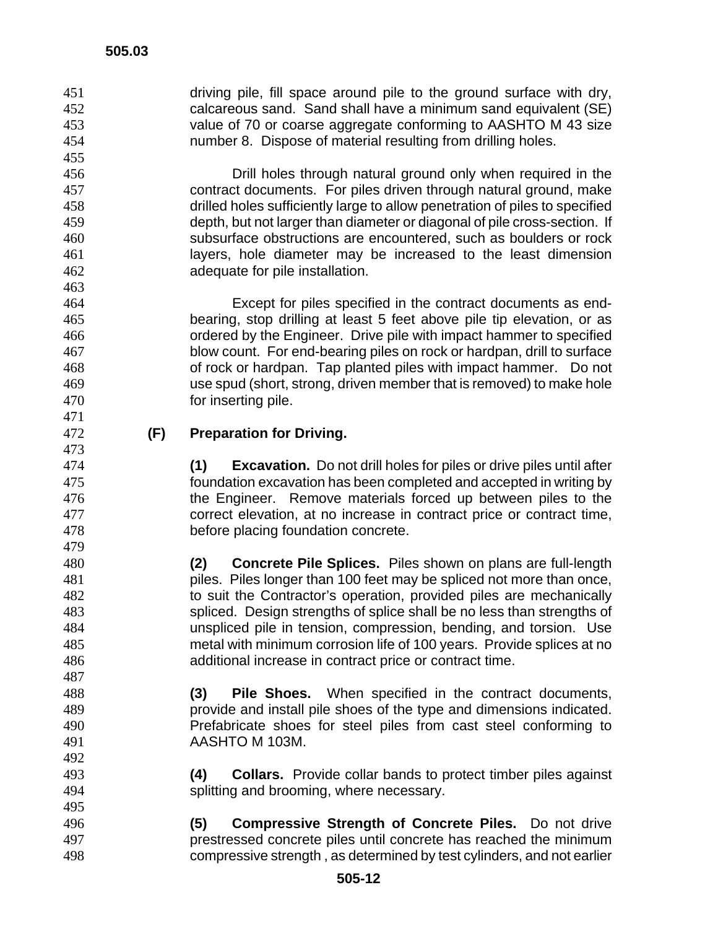driving pile, fill space around pile to the ground surface with dry, calcareous sand. Sand shall have a minimum sand equivalent (SE) value of 70 or coarse aggregate conforming to AASHTO M 43 size number 8. Dispose of material resulting from drilling holes. 

Drill holes through natural ground only when required in the contract documents. For piles driven through natural ground, make drilled holes sufficiently large to allow penetration of piles to specified depth, but not larger than diameter or diagonal of pile cross-section. If subsurface obstructions are encountered, such as boulders or rock layers, hole diameter may be increased to the least dimension adequate for pile installation.

Except for piles specified in the contract documents as end-bearing, stop drilling at least 5 feet above pile tip elevation, or as ordered by the Engineer. Drive pile with impact hammer to specified blow count. For end-bearing piles on rock or hardpan, drill to surface of rock or hardpan. Tap planted piles with impact hammer. Do not use spud (short, strong, driven member that is removed) to make hole for inserting pile.

# **(F) Preparation for Driving.**

**(1) Excavation.** Do not drill holes for piles or drive piles until after foundation excavation has been completed and accepted in writing by the Engineer. Remove materials forced up between piles to the correct elevation, at no increase in contract price or contract time, before placing foundation concrete.

**(2) Concrete Pile Splices.** Piles shown on plans are full-length piles. Piles longer than 100 feet may be spliced not more than once, to suit the Contractor's operation, provided piles are mechanically spliced. Design strengths of splice shall be no less than strengths of unspliced pile in tension, compression, bending, and torsion. Use metal with minimum corrosion life of 100 years. Provide splices at no additional increase in contract price or contract time.

**(3) Pile Shoes.** When specified in the contract documents, provide and install pile shoes of the type and dimensions indicated. Prefabricate shoes for steel piles from cast steel conforming to AASHTO M 103M.

- **(4) Collars.** Provide collar bands to protect timber piles against splitting and brooming, where necessary.
- **(5) Compressive Strength of Concrete Piles.** Do not drive prestressed concrete piles until concrete has reached the minimum compressive strength , as determined by test cylinders, and not earlier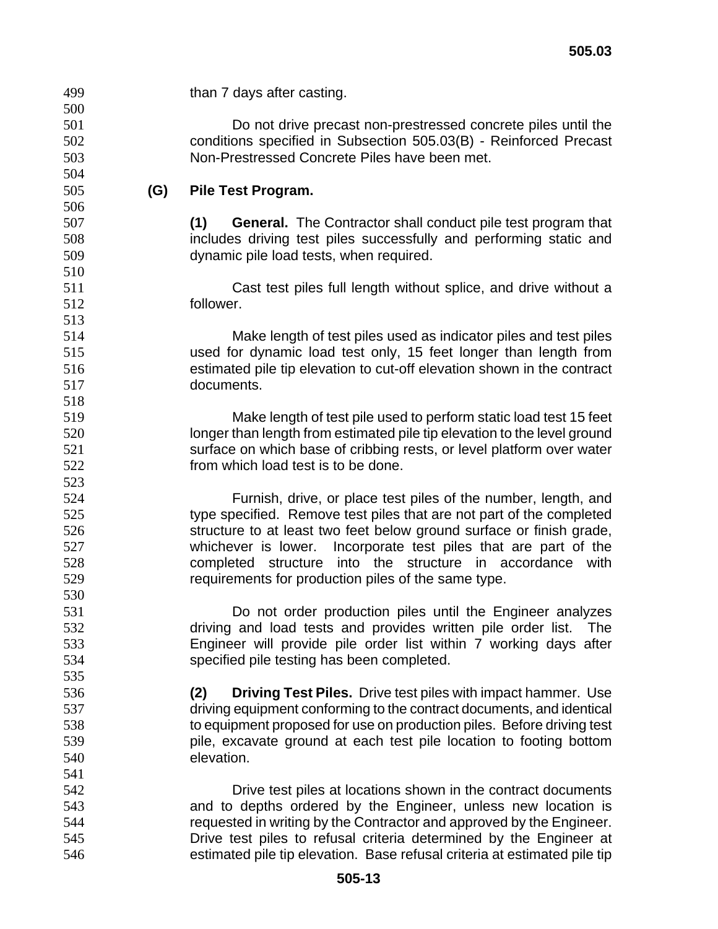| 499 |     | than 7 days after casting.                                                 |
|-----|-----|----------------------------------------------------------------------------|
| 500 |     |                                                                            |
| 501 |     | Do not drive precast non-prestressed concrete piles until the              |
| 502 |     | conditions specified in Subsection 505.03(B) - Reinforced Precast          |
| 503 |     | Non-Prestressed Concrete Piles have been met.                              |
| 504 |     |                                                                            |
| 505 | (G) | Pile Test Program.                                                         |
| 506 |     |                                                                            |
| 507 |     | <b>General.</b> The Contractor shall conduct pile test program that<br>(1) |
| 508 |     | includes driving test piles successfully and performing static and         |
| 509 |     | dynamic pile load tests, when required.                                    |
| 510 |     |                                                                            |
| 511 |     | Cast test piles full length without splice, and drive without a            |
| 512 |     | follower.                                                                  |
| 513 |     |                                                                            |
| 514 |     | Make length of test piles used as indicator piles and test piles           |
| 515 |     | used for dynamic load test only, 15 feet longer than length from           |
| 516 |     | estimated pile tip elevation to cut-off elevation shown in the contract    |
| 517 |     | documents.                                                                 |
| 518 |     |                                                                            |
| 519 |     | Make length of test pile used to perform static load test 15 feet          |
| 520 |     | longer than length from estimated pile tip elevation to the level ground   |
| 521 |     | surface on which base of cribbing rests, or level platform over water      |
| 522 |     | from which load test is to be done.                                        |
|     |     |                                                                            |
| 523 |     |                                                                            |
| 524 |     | Furnish, drive, or place test piles of the number, length, and             |
| 525 |     | type specified. Remove test piles that are not part of the completed       |
| 526 |     | structure to at least two feet below ground surface or finish grade,       |
| 527 |     | Incorporate test piles that are part of the<br>whichever is lower.         |
| 528 |     | completed structure into the structure in accordance with                  |
| 529 |     | requirements for production piles of the same type.                        |
| 530 |     |                                                                            |
| 531 |     | Do not order production piles until the Engineer analyzes                  |
| 532 |     | driving and load tests and provides written pile order list.<br>The        |
| 533 |     | Engineer will provide pile order list within 7 working days after          |
| 534 |     | specified pile testing has been completed.                                 |
| 535 |     |                                                                            |
| 536 |     | <b>Driving Test Piles.</b> Drive test piles with impact hammer. Use<br>(2) |
| 537 |     | driving equipment conforming to the contract documents, and identical      |
| 538 |     | to equipment proposed for use on production piles. Before driving test     |
| 539 |     | pile, excavate ground at each test pile location to footing bottom         |
| 540 |     | elevation.                                                                 |
| 541 |     |                                                                            |
| 542 |     | Drive test piles at locations shown in the contract documents              |
| 543 |     | and to depths ordered by the Engineer, unless new location is              |
| 544 |     | requested in writing by the Contractor and approved by the Engineer.       |
| 545 |     | Drive test piles to refusal criteria determined by the Engineer at         |
| 546 |     | estimated pile tip elevation. Base refusal criteria at estimated pile tip  |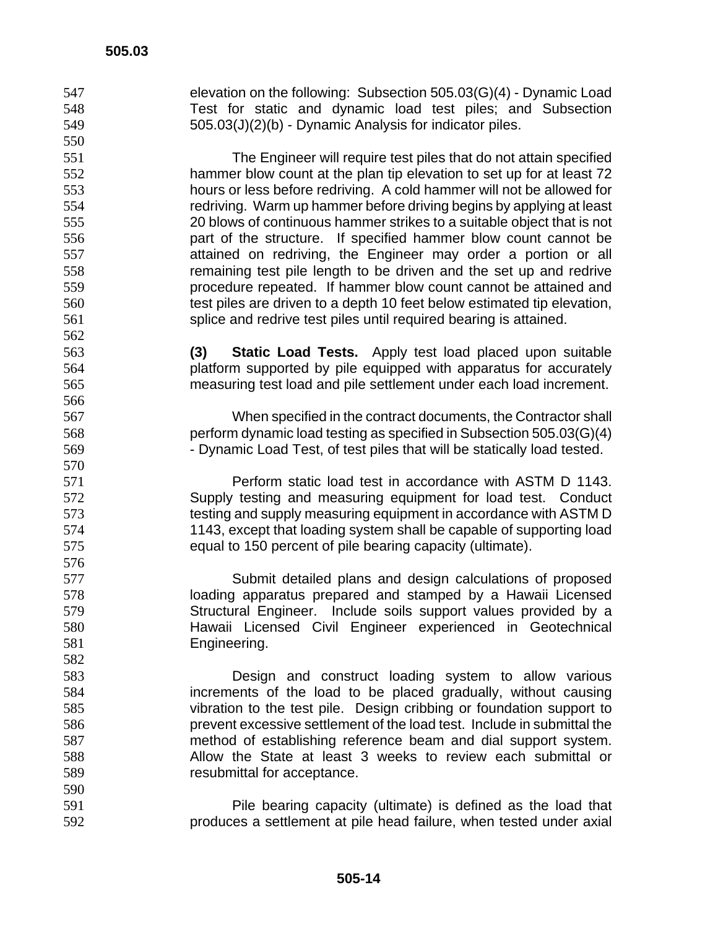elevation on the following: Subsection 505.03(G)(4) - Dynamic Load Test for static and dynamic load test piles; and Subsection 505.03(J)(2)(b) - Dynamic Analysis for indicator piles. The Engineer will require test piles that do not attain specified hammer blow count at the plan tip elevation to set up for at least 72 hours or less before redriving. A cold hammer will not be allowed for redriving. Warm up hammer before driving begins by applying at least 20 blows of continuous hammer strikes to a suitable object that is not part of the structure. If specified hammer blow count cannot be attained on redriving, the Engineer may order a portion or all remaining test pile length to be driven and the set up and redrive procedure repeated. If hammer blow count cannot be attained and test piles are driven to a depth 10 feet below estimated tip elevation, splice and redrive test piles until required bearing is attained. **(3) Static Load Tests.** Apply test load placed upon suitable platform supported by pile equipped with apparatus for accurately measuring test load and pile settlement under each load increment. When specified in the contract documents, the Contractor shall perform dynamic load testing as specified in Subsection 505.03(G)(4) - Dynamic Load Test, of test piles that will be statically load tested. Perform static load test in accordance with ASTM D 1143. Supply testing and measuring equipment for load test. Conduct testing and supply measuring equipment in accordance with ASTM D 1143, except that loading system shall be capable of supporting load equal to 150 percent of pile bearing capacity (ultimate). Submit detailed plans and design calculations of proposed loading apparatus prepared and stamped by a Hawaii Licensed Structural Engineer. Include soils support values provided by a Hawaii Licensed Civil Engineer experienced in Geotechnical Engineering. Design and construct loading system to allow various increments of the load to be placed gradually, without causing vibration to the test pile. Design cribbing or foundation support to prevent excessive settlement of the load test. Include in submittal the method of establishing reference beam and dial support system. Allow the State at least 3 weeks to review each submittal or resubmittal for acceptance. Pile bearing capacity (ultimate) is defined as the load that produces a settlement at pile head failure, when tested under axial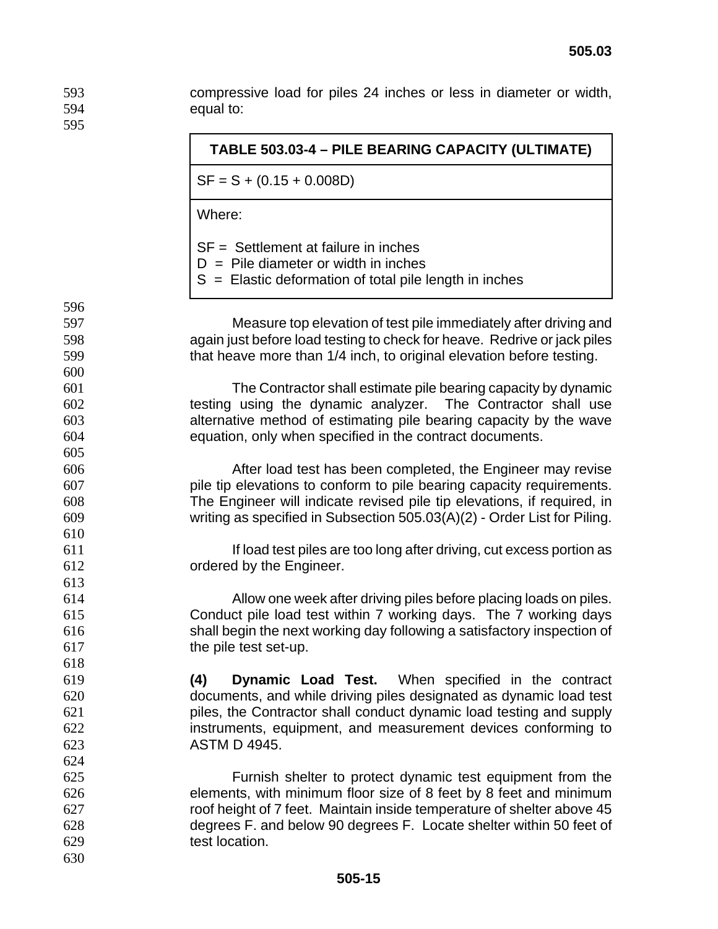compressive load for piles 24 inches or less in diameter or width, equal to: 

|     | TABLE 503.03-4 - PILE BEARING CAPACITY (ULTIMATE)                                                                                            |
|-----|----------------------------------------------------------------------------------------------------------------------------------------------|
|     | $SF = S + (0.15 + 0.008D)$                                                                                                                   |
|     | Where:                                                                                                                                       |
|     | $SF = Settlement$ at failure in inches<br>$D =$ Pile diameter or width in inches<br>$S =$ Elastic deformation of total pile length in inches |
| 596 |                                                                                                                                              |
| 597 | Measure top elevation of test pile immediately after driving and                                                                             |
| 598 | again just before load testing to check for heave. Redrive or jack piles                                                                     |
| 599 | that heave more than 1/4 inch, to original elevation before testing.                                                                         |
| 600 |                                                                                                                                              |
| 601 | The Contractor shall estimate pile bearing capacity by dynamic                                                                               |
| 602 | testing using the dynamic analyzer. The Contractor shall use                                                                                 |
| 603 | alternative method of estimating pile bearing capacity by the wave                                                                           |
| 604 | equation, only when specified in the contract documents.                                                                                     |
| 605 |                                                                                                                                              |
| 606 | After load test has been completed, the Engineer may revise                                                                                  |
| 607 | pile tip elevations to conform to pile bearing capacity requirements.                                                                        |
| 608 | The Engineer will indicate revised pile tip elevations, if required, in                                                                      |
| 609 | writing as specified in Subsection 505.03(A)(2) - Order List for Piling.                                                                     |
| 610 |                                                                                                                                              |
| 611 | If load test piles are too long after driving, cut excess portion as                                                                         |
| 612 | ordered by the Engineer.                                                                                                                     |
| 613 |                                                                                                                                              |
| 614 | Allow one week after driving piles before placing loads on piles.                                                                            |
| 615 | Conduct pile load test within 7 working days. The 7 working days                                                                             |
| 616 | shall begin the next working day following a satisfactory inspection of                                                                      |
| 617 | the pile test set-up.                                                                                                                        |
| 618 |                                                                                                                                              |
| 619 | <b>Dynamic Load Test.</b> When specified in the contract<br>(4)                                                                              |
| 620 | documents, and while driving piles designated as dynamic load test                                                                           |
| 621 | piles, the Contractor shall conduct dynamic load testing and supply                                                                          |
| 622 | instruments, equipment, and measurement devices conforming to                                                                                |
| 623 | <b>ASTM D 4945.</b>                                                                                                                          |
| 624 |                                                                                                                                              |
| 625 | Furnish shelter to protect dynamic test equipment from the                                                                                   |
| 626 | elements, with minimum floor size of 8 feet by 8 feet and minimum                                                                            |
| 627 | roof height of 7 feet. Maintain inside temperature of shelter above 45                                                                       |
| 628 | degrees F. and below 90 degrees F. Locate shelter within 50 feet of                                                                          |
| 629 | test location.                                                                                                                               |
| 630 |                                                                                                                                              |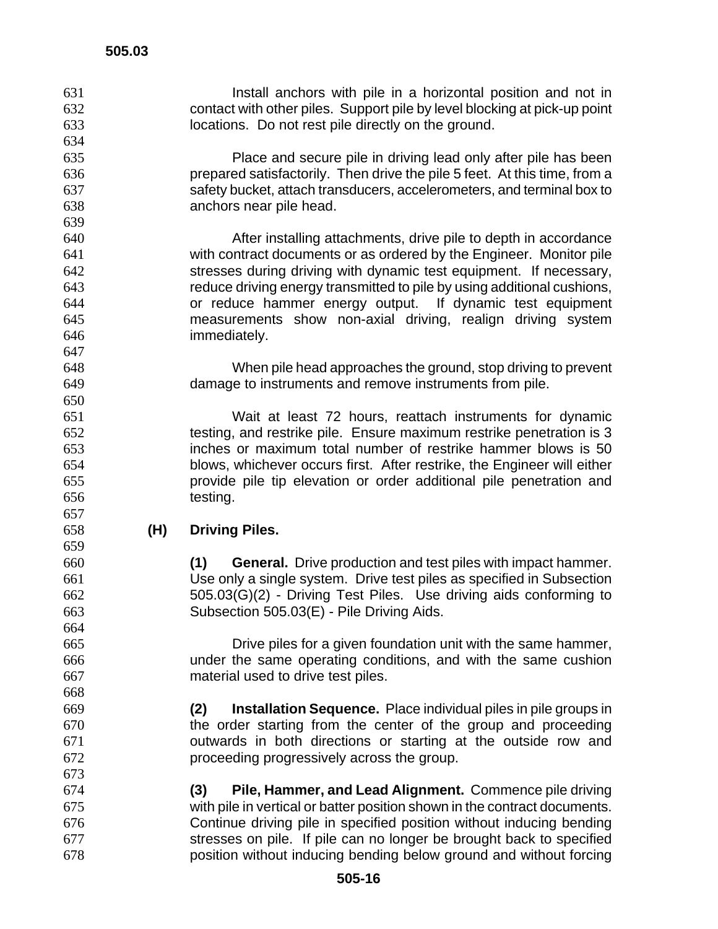- Install anchors with pile in a horizontal position and not in contact with other piles. Support pile by level blocking at pick-up point locations. Do not rest pile directly on the ground.
- Place and secure pile in driving lead only after pile has been prepared satisfactorily. Then drive the pile 5 feet. At this time, from a safety bucket, attach transducers, accelerometers, and terminal box to anchors near pile head.
- After installing attachments, drive pile to depth in accordance with contract documents or as ordered by the Engineer. Monitor pile stresses during driving with dynamic test equipment. If necessary, reduce driving energy transmitted to pile by using additional cushions, or reduce hammer energy output. If dynamic test equipment measurements show non-axial driving, realign driving system immediately.
- When pile head approaches the ground, stop driving to prevent damage to instruments and remove instruments from pile.

Wait at least 72 hours, reattach instruments for dynamic testing, and restrike pile. Ensure maximum restrike penetration is 3 inches or maximum total number of restrike hammer blows is 50 blows, whichever occurs first. After restrike, the Engineer will either provide pile tip elevation or order additional pile penetration and testing.

#### **(H) Driving Piles.**

**(1) General.** Drive production and test piles with impact hammer. Use only a single system. Drive test piles as specified in Subsection 505.03(G)(2) - Driving Test Piles. Use driving aids conforming to Subsection 505.03(E) - Pile Driving Aids.

Drive piles for a given foundation unit with the same hammer, under the same operating conditions, and with the same cushion material used to drive test piles.

- **(2) Installation Sequence.** Place individual piles in pile groups in the order starting from the center of the group and proceeding outwards in both directions or starting at the outside row and proceeding progressively across the group.
- **(3) Pile, Hammer, and Lead Alignment.** Commence pile driving with pile in vertical or batter position shown in the contract documents. Continue driving pile in specified position without inducing bending stresses on pile. If pile can no longer be brought back to specified position without inducing bending below ground and without forcing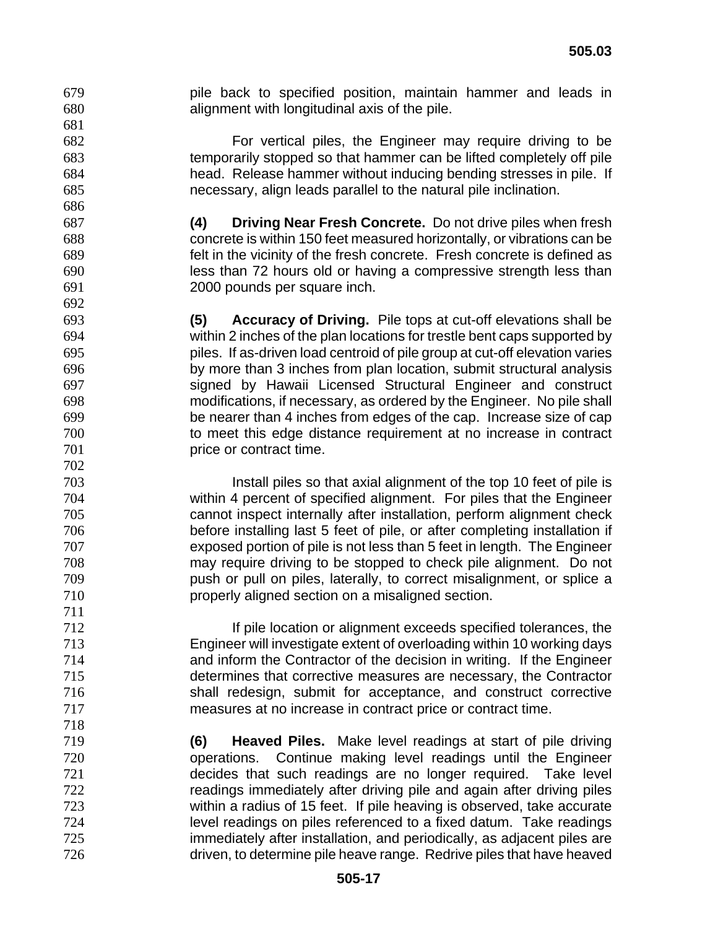pile back to specified position, maintain hammer and leads in alignment with longitudinal axis of the pile.

For vertical piles, the Engineer may require driving to be temporarily stopped so that hammer can be lifted completely off pile head. Release hammer without inducing bending stresses in pile. If necessary, align leads parallel to the natural pile inclination.

**(4) Driving Near Fresh Concrete.** Do not drive piles when fresh concrete is within 150 feet measured horizontally, or vibrations can be felt in the vicinity of the fresh concrete. Fresh concrete is defined as less than 72 hours old or having a compressive strength less than 2000 pounds per square inch.

**(5) Accuracy of Driving.** Pile tops at cut-off elevations shall be within 2 inches of the plan locations for trestle bent caps supported by piles. If as-driven load centroid of pile group at cut-off elevation varies by more than 3 inches from plan location, submit structural analysis signed by Hawaii Licensed Structural Engineer and construct modifications, if necessary, as ordered by the Engineer. No pile shall be nearer than 4 inches from edges of the cap. Increase size of cap to meet this edge distance requirement at no increase in contract **price or contract time.** 

Install piles so that axial alignment of the top 10 feet of pile is within 4 percent of specified alignment. For piles that the Engineer cannot inspect internally after installation, perform alignment check before installing last 5 feet of pile, or after completing installation if exposed portion of pile is not less than 5 feet in length. The Engineer may require driving to be stopped to check pile alignment. Do not push or pull on piles, laterally, to correct misalignment, or splice a properly aligned section on a misaligned section.

If pile location or alignment exceeds specified tolerances, the Engineer will investigate extent of overloading within 10 working days and inform the Contractor of the decision in writing. If the Engineer determines that corrective measures are necessary, the Contractor shall redesign, submit for acceptance, and construct corrective measures at no increase in contract price or contract time.

**(6) Heaved Piles.** Make level readings at start of pile driving operations. Continue making level readings until the Engineer decides that such readings are no longer required. Take level readings immediately after driving pile and again after driving piles within a radius of 15 feet. If pile heaving is observed, take accurate level readings on piles referenced to a fixed datum. Take readings immediately after installation, and periodically, as adjacent piles are driven, to determine pile heave range. Redrive piles that have heaved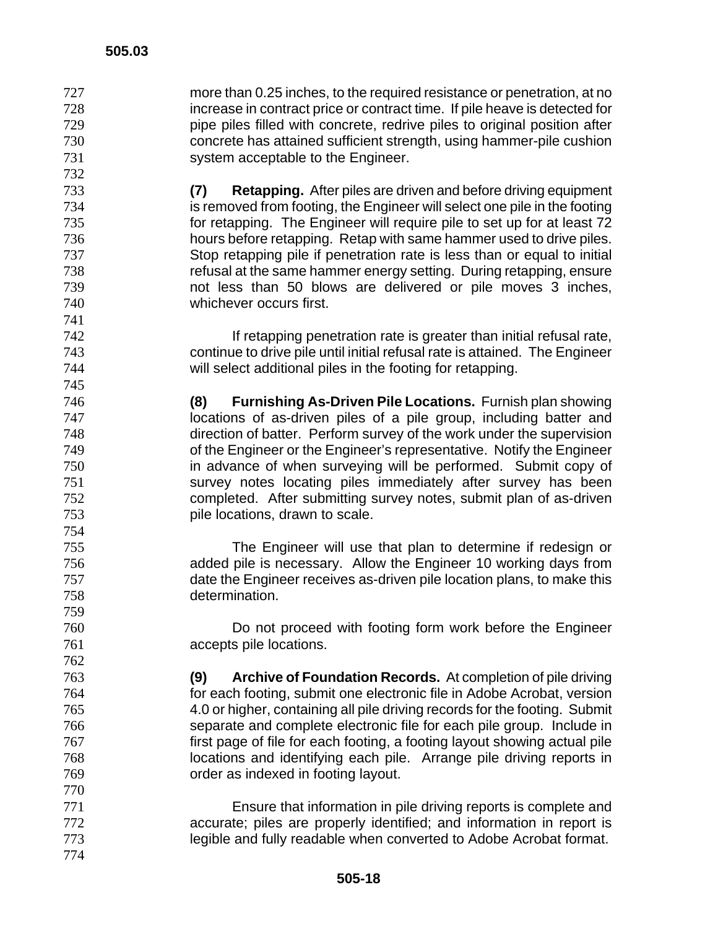more than 0.25 inches, to the required resistance or penetration, at no increase in contract price or contract time. If pile heave is detected for pipe piles filled with concrete, redrive piles to original position after concrete has attained sufficient strength, using hammer-pile cushion system acceptable to the Engineer.

**(7) Retapping.** After piles are driven and before driving equipment is removed from footing, the Engineer will select one pile in the footing for retapping. The Engineer will require pile to set up for at least 72 hours before retapping. Retap with same hammer used to drive piles. Stop retapping pile if penetration rate is less than or equal to initial refusal at the same hammer energy setting. During retapping, ensure not less than 50 blows are delivered or pile moves 3 inches, whichever occurs first.

If retapping penetration rate is greater than initial refusal rate, continue to drive pile until initial refusal rate is attained. The Engineer will select additional piles in the footing for retapping.

**(8) Furnishing As-Driven Pile Locations.** Furnish plan showing locations of as-driven piles of a pile group, including batter and direction of batter. Perform survey of the work under the supervision of the Engineer or the Engineer's representative. Notify the Engineer in advance of when surveying will be performed. Submit copy of survey notes locating piles immediately after survey has been completed. After submitting survey notes, submit plan of as-driven pile locations, drawn to scale.

The Engineer will use that plan to determine if redesign or added pile is necessary. Allow the Engineer 10 working days from date the Engineer receives as-driven pile location plans, to make this determination.

Do not proceed with footing form work before the Engineer accepts pile locations.

**(9) Archive of Foundation Records.** At completion of pile driving for each footing, submit one electronic file in Adobe Acrobat, version 4.0 or higher, containing all pile driving records for the footing. Submit separate and complete electronic file for each pile group. Include in first page of file for each footing, a footing layout showing actual pile locations and identifying each pile. Arrange pile driving reports in order as indexed in footing layout.

Ensure that information in pile driving reports is complete and accurate; piles are properly identified; and information in report is legible and fully readable when converted to Adobe Acrobat format.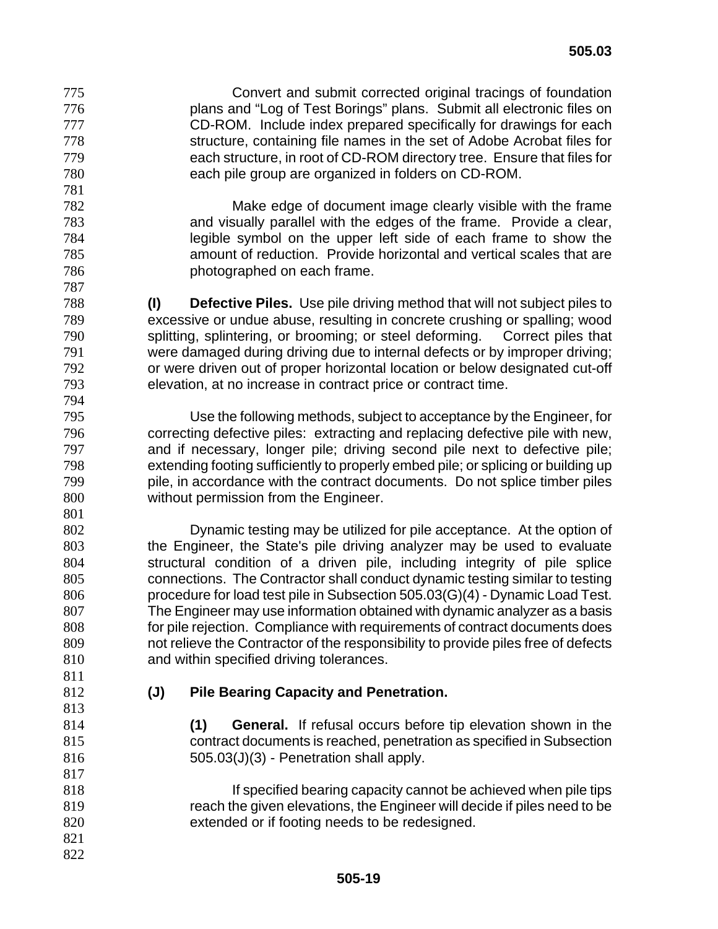Convert and submit corrected original tracings of foundation plans and "Log of Test Borings" plans. Submit all electronic files on CD-ROM. Include index prepared specifically for drawings for each structure, containing file names in the set of Adobe Acrobat files for each structure, in root of CD-ROM directory tree. Ensure that files for each pile group are organized in folders on CD-ROM.

Make edge of document image clearly visible with the frame and visually parallel with the edges of the frame. Provide a clear, legible symbol on the upper left side of each frame to show the amount of reduction. Provide horizontal and vertical scales that are photographed on each frame.

**(I) Defective Piles.** Use pile driving method that will not subject piles to excessive or undue abuse, resulting in concrete crushing or spalling; wood splitting, splintering, or brooming; or steel deforming. Correct piles that were damaged during driving due to internal defects or by improper driving; or were driven out of proper horizontal location or below designated cut-off elevation, at no increase in contract price or contract time. 

Use the following methods, subject to acceptance by the Engineer, for correcting defective piles: extracting and replacing defective pile with new, and if necessary, longer pile; driving second pile next to defective pile; extending footing sufficiently to properly embed pile; or splicing or building up pile, in accordance with the contract documents. Do not splice timber piles without permission from the Engineer.

Dynamic testing may be utilized for pile acceptance. At the option of the Engineer, the State's pile driving analyzer may be used to evaluate structural condition of a driven pile, including integrity of pile splice connections. The Contractor shall conduct dynamic testing similar to testing procedure for load test pile in Subsection 505.03(G)(4) - Dynamic Load Test. The Engineer may use information obtained with dynamic analyzer as a basis for pile rejection. Compliance with requirements of contract documents does not relieve the Contractor of the responsibility to provide piles free of defects and within specified driving tolerances.

 

# **(J) Pile Bearing Capacity and Penetration.**

**(1) General.** If refusal occurs before tip elevation shown in the contract documents is reached, penetration as specified in Subsection  $505.03(J)(3)$  - Penetration shall apply.

- If specified bearing capacity cannot be achieved when pile tips reach the given elevations, the Engineer will decide if piles need to be extended or if footing needs to be redesigned.
-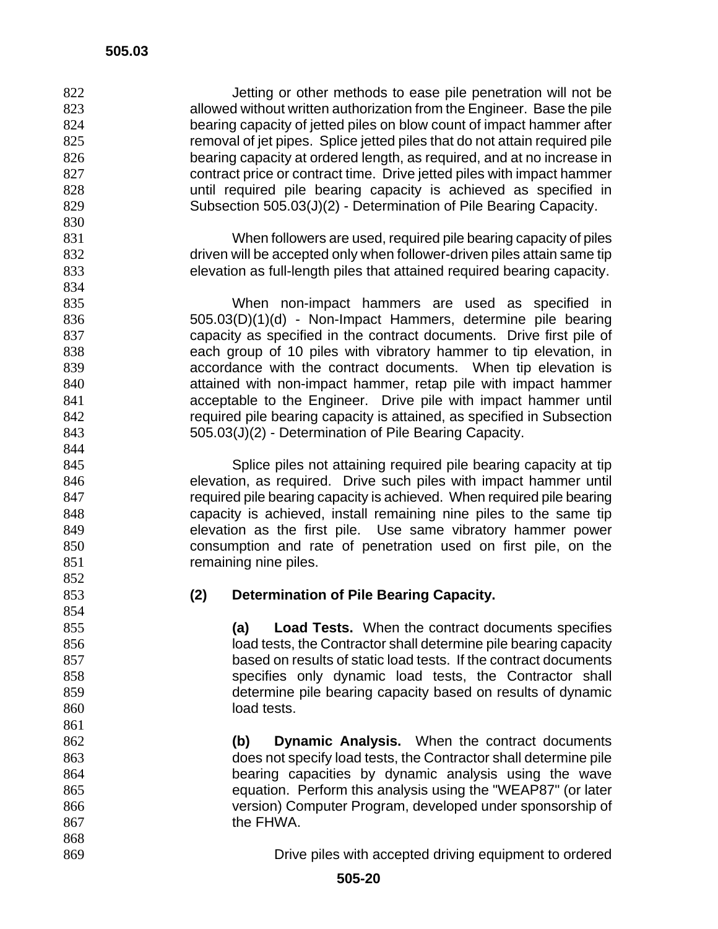| 822 | Jetting or other methods to ease pile penetration will not be              |  |  |
|-----|----------------------------------------------------------------------------|--|--|
| 823 | allowed without written authorization from the Engineer. Base the pile     |  |  |
| 824 | bearing capacity of jetted piles on blow count of impact hammer after      |  |  |
| 825 | removal of jet pipes. Splice jetted piles that do not attain required pile |  |  |
| 826 | bearing capacity at ordered length, as required, and at no increase in     |  |  |
| 827 | contract price or contract time. Drive jetted piles with impact hammer     |  |  |
|     |                                                                            |  |  |
| 828 | until required pile bearing capacity is achieved as specified in           |  |  |
| 829 | Subsection 505.03(J)(2) - Determination of Pile Bearing Capacity.          |  |  |
| 830 |                                                                            |  |  |
| 831 | When followers are used, required pile bearing capacity of piles           |  |  |
| 832 | driven will be accepted only when follower-driven piles attain same tip    |  |  |
| 833 | elevation as full-length piles that attained required bearing capacity.    |  |  |
| 834 |                                                                            |  |  |
| 835 | When non-impact hammers are used as specified in                           |  |  |
| 836 | 505.03(D)(1)(d) - Non-Impact Hammers, determine pile bearing               |  |  |
| 837 | capacity as specified in the contract documents. Drive first pile of       |  |  |
| 838 | each group of 10 piles with vibratory hammer to tip elevation, in          |  |  |
| 839 | accordance with the contract documents. When tip elevation is              |  |  |
|     |                                                                            |  |  |
| 840 | attained with non-impact hammer, retap pile with impact hammer             |  |  |
| 841 | acceptable to the Engineer. Drive pile with impact hammer until            |  |  |
| 842 | required pile bearing capacity is attained, as specified in Subsection     |  |  |
| 843 | 505.03(J)(2) - Determination of Pile Bearing Capacity.                     |  |  |
| 844 |                                                                            |  |  |
| 845 | Splice piles not attaining required pile bearing capacity at tip           |  |  |
| 846 | elevation, as required. Drive such piles with impact hammer until          |  |  |
| 847 | required pile bearing capacity is achieved. When required pile bearing     |  |  |
| 848 | capacity is achieved, install remaining nine piles to the same tip         |  |  |
| 849 | elevation as the first pile. Use same vibratory hammer power               |  |  |
| 850 | consumption and rate of penetration used on first pile, on the             |  |  |
| 851 | remaining nine piles.                                                      |  |  |
| 852 |                                                                            |  |  |
|     |                                                                            |  |  |
| 853 | (2)<br><b>Determination of Pile Bearing Capacity.</b>                      |  |  |
| 854 |                                                                            |  |  |
| 855 | (a)<br><b>Load Tests.</b> When the contract documents specifies            |  |  |
| 856 | load tests, the Contractor shall determine pile bearing capacity           |  |  |
| 857 | based on results of static load tests. If the contract documents           |  |  |
| 858 | specifies only dynamic load tests, the Contractor shall                    |  |  |
| 859 | determine pile bearing capacity based on results of dynamic                |  |  |
| 860 | load tests.                                                                |  |  |
| 861 |                                                                            |  |  |
| 862 | <b>Dynamic Analysis.</b> When the contract documents<br>(b)                |  |  |
| 863 | does not specify load tests, the Contractor shall determine pile           |  |  |
| 864 |                                                                            |  |  |
|     | bearing capacities by dynamic analysis using the wave                      |  |  |
| 865 | equation. Perform this analysis using the "WEAP87" (or later               |  |  |
| 866 | version) Computer Program, developed under sponsorship of                  |  |  |
| 867 | the FHWA.                                                                  |  |  |
| 868 |                                                                            |  |  |
| 869 | Drive piles with accepted driving equipment to ordered                     |  |  |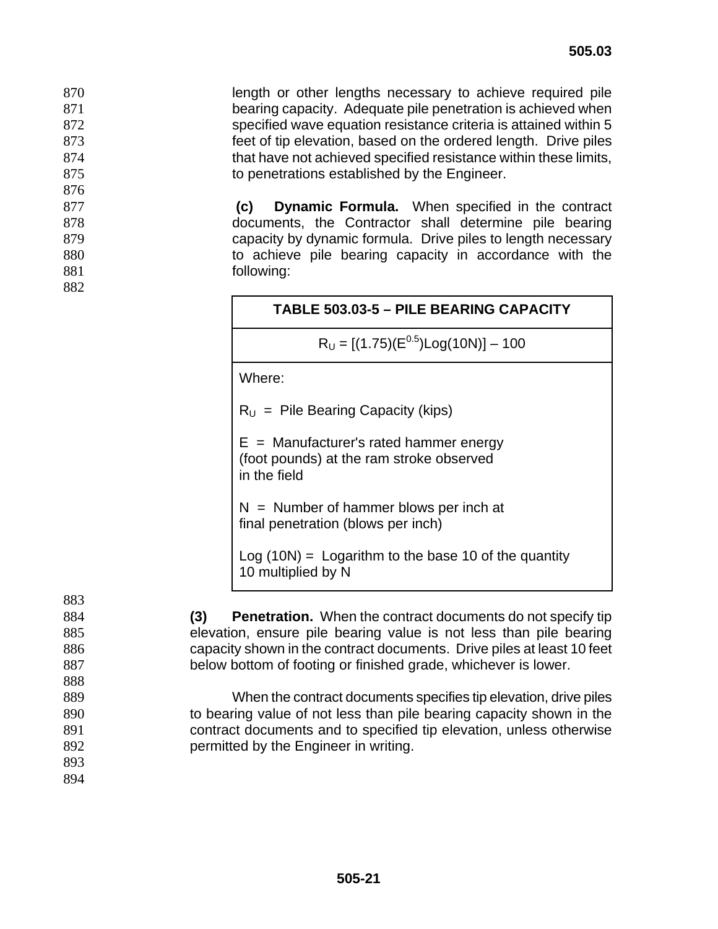length or other lengths necessary to achieve required pile bearing capacity. Adequate pile penetration is achieved when specified wave equation resistance criteria is attained within 5 feet of tip elevation, based on the ordered length. Drive piles that have not achieved specified resistance within these limits, 875 to penetrations established by the Engineer.

877 **(c) Dynamic Formula.** When specified in the contract 878 documents, the Contractor shall determine pile bearing 879 capacity by dynamic formula. Drive piles to length necessary 880 to achieve pile bearing capacity in accordance with the 881 following:

 $R_U = [(1.75)(E^{0.5})Log(10N)] - 100$ 

Where:

876

882

 $R_U$  = Pile Bearing Capacity (kips)

 $E =$  Manufacturer's rated hammer energy (foot pounds) at the ram stroke observed in the field

 $N =$  Number of hammer blows per inch at final penetration (blows per inch)

 $Log(10N) = Logarithm$  to the base 10 of the quantity 10 multiplied by N

883 **(3) Penetration.** When the contract documents do not specify tip elevation, ensure pile bearing value is not less than pile bearing capacity shown in the contract documents. Drive piles at least 10 feet below bottom of footing or finished grade, whichever is lower. 888 When the contract documents specifies tip elevation, drive piles to bearing value of not less than pile bearing capacity shown in the contract documents and to specified tip elevation, unless otherwise permitted by the Engineer in writing. 893 894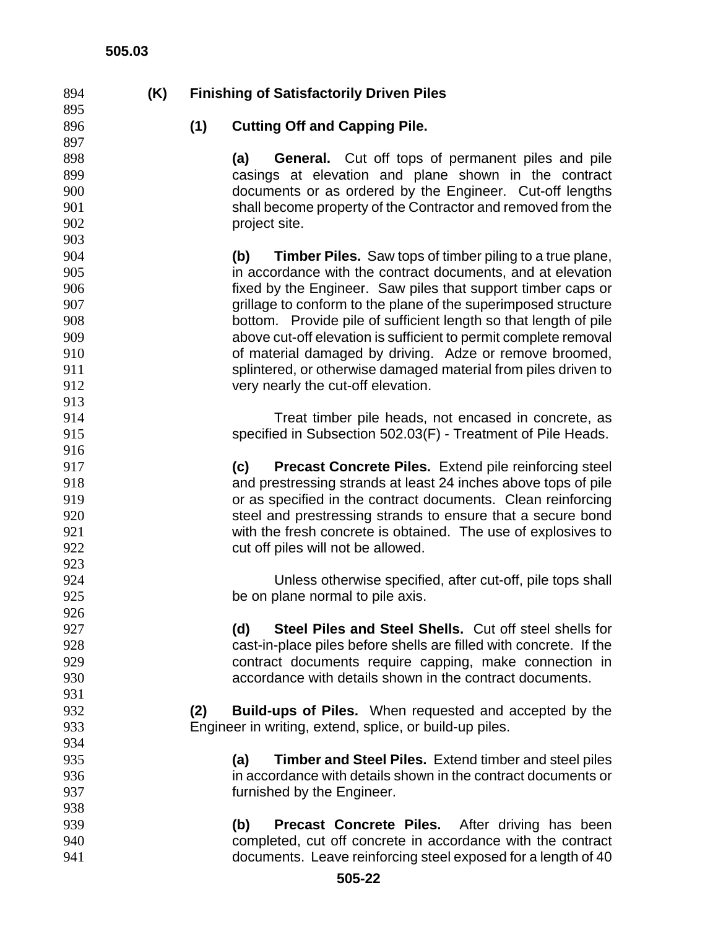| 894 | (K) | <b>Finishing of Satisfactorily Driven Piles</b> |                                                                        |  |  |
|-----|-----|-------------------------------------------------|------------------------------------------------------------------------|--|--|
| 895 |     |                                                 |                                                                        |  |  |
| 896 |     | (1)                                             | <b>Cutting Off and Capping Pile.</b>                                   |  |  |
| 897 |     |                                                 |                                                                        |  |  |
| 898 |     |                                                 | General. Cut off tops of permanent piles and pile<br>(a)               |  |  |
| 899 |     |                                                 | casings at elevation and plane shown in the contract                   |  |  |
| 900 |     |                                                 | documents or as ordered by the Engineer. Cut-off lengths               |  |  |
| 901 |     |                                                 | shall become property of the Contractor and removed from the           |  |  |
| 902 |     |                                                 | project site.                                                          |  |  |
| 903 |     |                                                 |                                                                        |  |  |
| 904 |     |                                                 | <b>Timber Piles.</b> Saw tops of timber piling to a true plane,<br>(b) |  |  |
| 905 |     |                                                 | in accordance with the contract documents, and at elevation            |  |  |
| 906 |     |                                                 | fixed by the Engineer. Saw piles that support timber caps or           |  |  |
| 907 |     |                                                 | grillage to conform to the plane of the superimposed structure         |  |  |
| 908 |     |                                                 | bottom. Provide pile of sufficient length so that length of pile       |  |  |
| 909 |     |                                                 | above cut-off elevation is sufficient to permit complete removal       |  |  |
| 910 |     |                                                 | of material damaged by driving. Adze or remove broomed,                |  |  |
| 911 |     |                                                 | splintered, or otherwise damaged material from piles driven to         |  |  |
| 912 |     |                                                 | very nearly the cut-off elevation.                                     |  |  |
| 913 |     |                                                 |                                                                        |  |  |
| 914 |     |                                                 | Treat timber pile heads, not encased in concrete, as                   |  |  |
| 915 |     |                                                 | specified in Subsection 502.03(F) - Treatment of Pile Heads.           |  |  |
| 916 |     |                                                 |                                                                        |  |  |
| 917 |     |                                                 | Precast Concrete Piles. Extend pile reinforcing steel<br>(c)           |  |  |
| 918 |     |                                                 | and prestressing strands at least 24 inches above tops of pile         |  |  |
| 919 |     |                                                 | or as specified in the contract documents. Clean reinforcing           |  |  |
| 920 |     |                                                 | steel and prestressing strands to ensure that a secure bond            |  |  |
| 921 |     |                                                 | with the fresh concrete is obtained. The use of explosives to          |  |  |
| 922 |     |                                                 | cut off piles will not be allowed.                                     |  |  |
| 923 |     |                                                 |                                                                        |  |  |
| 924 |     |                                                 | Unless otherwise specified, after cut-off, pile tops shall             |  |  |
| 925 |     |                                                 | be on plane normal to pile axis.                                       |  |  |
| 926 |     |                                                 |                                                                        |  |  |
| 927 |     |                                                 | <b>Steel Piles and Steel Shells.</b> Cut off steel shells for<br>(d)   |  |  |
| 928 |     |                                                 | cast-in-place piles before shells are filled with concrete. If the     |  |  |
| 929 |     |                                                 | contract documents require capping, make connection in                 |  |  |
| 930 |     |                                                 | accordance with details shown in the contract documents.               |  |  |
| 931 |     |                                                 |                                                                        |  |  |
| 932 |     | (2)                                             | <b>Build-ups of Piles.</b> When requested and accepted by the          |  |  |
| 933 |     |                                                 | Engineer in writing, extend, splice, or build-up piles.                |  |  |
| 934 |     |                                                 |                                                                        |  |  |
| 935 |     |                                                 | (a)<br><b>Timber and Steel Piles.</b> Extend timber and steel piles    |  |  |
| 936 |     |                                                 | in accordance with details shown in the contract documents or          |  |  |
| 937 |     |                                                 | furnished by the Engineer.                                             |  |  |
| 938 |     |                                                 |                                                                        |  |  |
| 939 |     |                                                 | <b>Precast Concrete Piles.</b> After driving has been<br>(b)           |  |  |
| 940 |     |                                                 | completed, cut off concrete in accordance with the contract            |  |  |
| 941 |     |                                                 | documents. Leave reinforcing steel exposed for a length of 40          |  |  |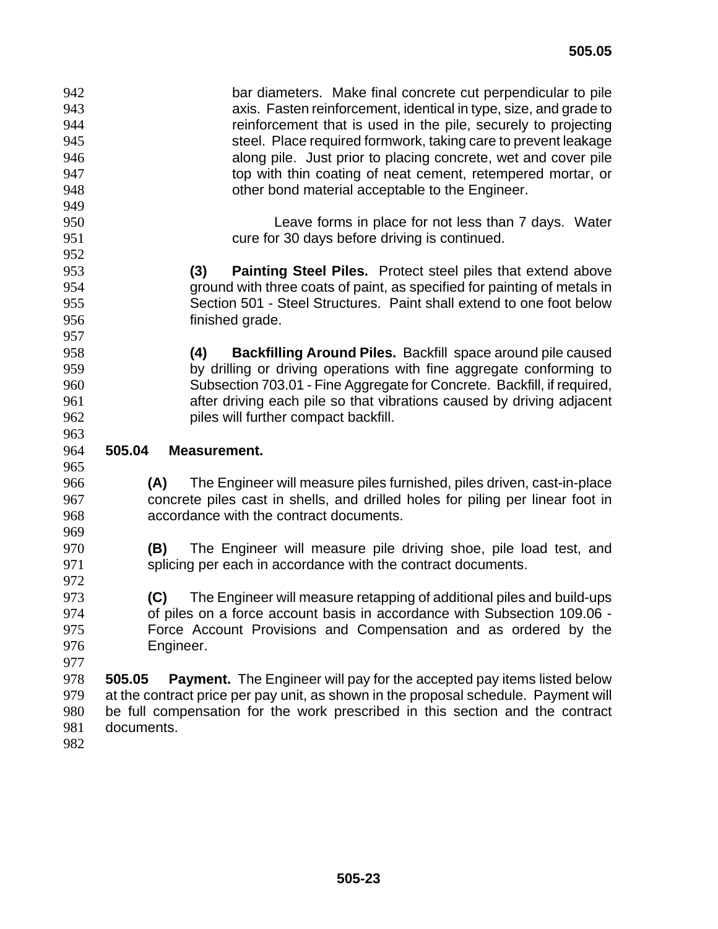| 942<br>943<br>944<br>945<br>946<br>947<br>948 | bar diameters. Make final concrete cut perpendicular to pile<br>axis. Fasten reinforcement, identical in type, size, and grade to<br>reinforcement that is used in the pile, securely to projecting<br>steel. Place required formwork, taking care to prevent leakage<br>along pile. Just prior to placing concrete, wet and cover pile<br>top with thin coating of neat cement, retempered mortar, or<br>other bond material acceptable to the Engineer. |
|-----------------------------------------------|-----------------------------------------------------------------------------------------------------------------------------------------------------------------------------------------------------------------------------------------------------------------------------------------------------------------------------------------------------------------------------------------------------------------------------------------------------------|
| 949<br>950<br>951                             | Leave forms in place for not less than 7 days. Water<br>cure for 30 days before driving is continued.                                                                                                                                                                                                                                                                                                                                                     |
| 952                                           |                                                                                                                                                                                                                                                                                                                                                                                                                                                           |
| 953                                           | (3)<br><b>Painting Steel Piles.</b> Protect steel piles that extend above                                                                                                                                                                                                                                                                                                                                                                                 |
| 954                                           | ground with three coats of paint, as specified for painting of metals in                                                                                                                                                                                                                                                                                                                                                                                  |
| 955                                           | Section 501 - Steel Structures. Paint shall extend to one foot below                                                                                                                                                                                                                                                                                                                                                                                      |
| 956                                           | finished grade.                                                                                                                                                                                                                                                                                                                                                                                                                                           |
| 957                                           |                                                                                                                                                                                                                                                                                                                                                                                                                                                           |
| 958<br>959                                    | Backfilling Around Piles. Backfill space around pile caused<br>(4)<br>by drilling or driving operations with fine aggregate conforming to                                                                                                                                                                                                                                                                                                                 |
| 960                                           | Subsection 703.01 - Fine Aggregate for Concrete. Backfill, if required,                                                                                                                                                                                                                                                                                                                                                                                   |
| 961                                           | after driving each pile so that vibrations caused by driving adjacent                                                                                                                                                                                                                                                                                                                                                                                     |
| 962                                           | piles will further compact backfill.                                                                                                                                                                                                                                                                                                                                                                                                                      |
| 963                                           |                                                                                                                                                                                                                                                                                                                                                                                                                                                           |
| 964<br>965                                    | 505.04<br>Measurement.                                                                                                                                                                                                                                                                                                                                                                                                                                    |
| 966<br>967<br>968<br>969                      | The Engineer will measure piles furnished, piles driven, cast-in-place<br>(A)<br>concrete piles cast in shells, and drilled holes for piling per linear foot in<br>accordance with the contract documents.                                                                                                                                                                                                                                                |
| 970<br>971<br>972                             | The Engineer will measure pile driving shoe, pile load test, and<br>(B)<br>splicing per each in accordance with the contract documents.                                                                                                                                                                                                                                                                                                                   |
| 973                                           | The Engineer will measure retapping of additional piles and build-ups<br>(C)                                                                                                                                                                                                                                                                                                                                                                              |
| 974                                           | of piles on a force account basis in accordance with Subsection 109.06 -                                                                                                                                                                                                                                                                                                                                                                                  |
| 975                                           | Force Account Provisions and Compensation and as ordered by the                                                                                                                                                                                                                                                                                                                                                                                           |
| 976<br>977                                    | Engineer.                                                                                                                                                                                                                                                                                                                                                                                                                                                 |
| 978<br>979<br>980<br>981                      | <b>Payment.</b> The Engineer will pay for the accepted pay items listed below<br>505.05<br>at the contract price per pay unit, as shown in the proposal schedule. Payment will<br>be full compensation for the work prescribed in this section and the contract<br>documents.                                                                                                                                                                             |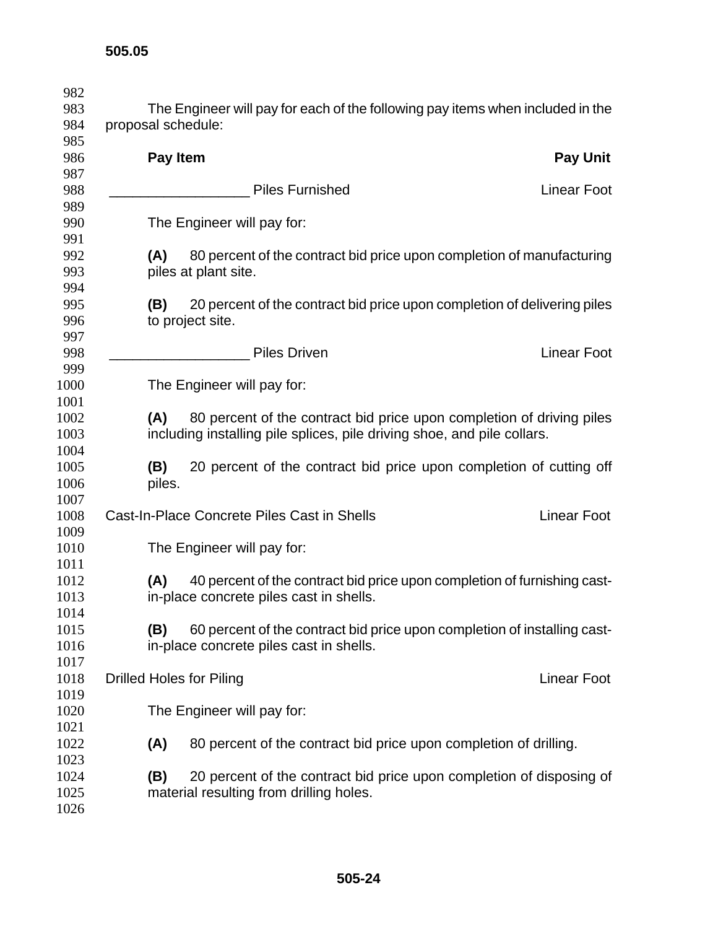| proposal schedule:              | The Engineer will pay for each of the following pay items when included in the                                                                   |                    |
|---------------------------------|--------------------------------------------------------------------------------------------------------------------------------------------------|--------------------|
| Pay Item                        |                                                                                                                                                  | <b>Pay Unit</b>    |
|                                 | <b>Piles Furnished</b>                                                                                                                           | <b>Linear Foot</b> |
|                                 | The Engineer will pay for:                                                                                                                       |                    |
| (A)                             | 80 percent of the contract bid price upon completion of manufacturing<br>piles at plant site.                                                    |                    |
| (B)                             | 20 percent of the contract bid price upon completion of delivering piles<br>to project site.                                                     |                    |
|                                 | <b>Piles Driven</b>                                                                                                                              | <b>Linear Foot</b> |
|                                 | The Engineer will pay for:                                                                                                                       |                    |
| (A)                             | 80 percent of the contract bid price upon completion of driving piles<br>including installing pile splices, pile driving shoe, and pile collars. |                    |
| (B)<br>piles.                   | 20 percent of the contract bid price upon completion of cutting off                                                                              |                    |
|                                 | Cast-In-Place Concrete Piles Cast in Shells                                                                                                      | <b>Linear Foot</b> |
|                                 | The Engineer will pay for:                                                                                                                       |                    |
| (A)                             | 40 percent of the contract bid price upon completion of furnishing cast-<br>in-place concrete piles cast in shells.                              |                    |
| (B)                             | 60 percent of the contract bid price upon completion of installing cast-<br>in-place concrete piles cast in shells.                              |                    |
| <b>Drilled Holes for Piling</b> |                                                                                                                                                  | <b>Linear Foot</b> |
|                                 | The Engineer will pay for:                                                                                                                       |                    |
| (A)                             | 80 percent of the contract bid price upon completion of drilling.                                                                                |                    |
| (B)                             | 20 percent of the contract bid price upon completion of disposing of<br>material resulting from drilling holes.                                  |                    |